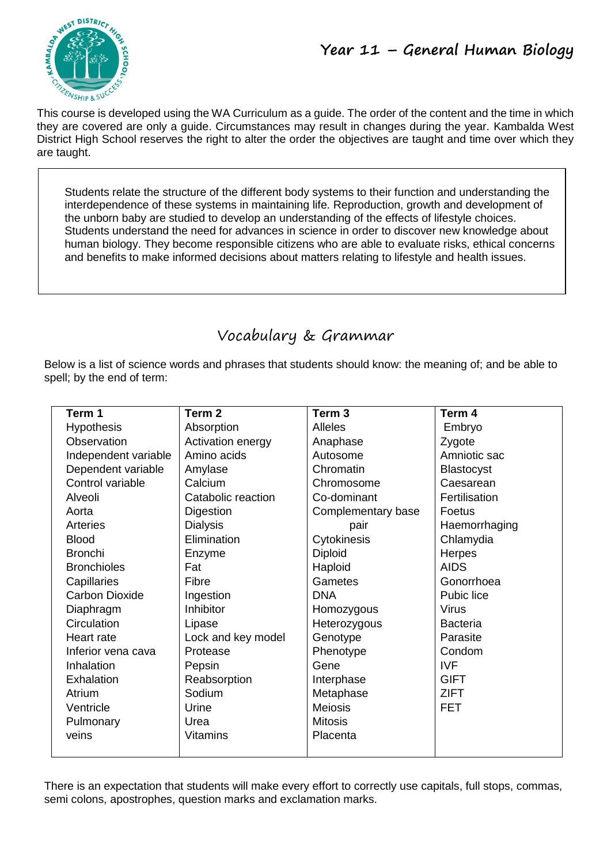This course is developed using the WA Curriculum as a guide. The order of the content and the time in which they are covered are only a guide. Circumstances may result in changes during the year. Kambalda West District High School reserves the right to alter the order the objectives are taught and time over which they are taught.

Students relate the structure of the different body systems to their function and understanding the interdependence of these systems in maintaining life. Reproduction, growth and development of the unborn baby are studied to develop an understanding of the effects of lifestyle choices. Students understand the need for advances in science in order to discover new knowledge about human biology. They become responsible citizens who are able to evaluate risks, ethical concerns and benefits to make informed decisions about matters relating to lifestyle and health issues.

# Vocabulary & Grammar

Below is a list of science words and phrases that students should know: the meaning of; and be able to spell; by the end of term:

| Term 1                | Term 2             | Term <sub>3</sub>  | Term 4            |
|-----------------------|--------------------|--------------------|-------------------|
| <b>Hypothesis</b>     | Absorption         | <b>Alleles</b>     | Embryo            |
| Observation           | Activation energy  | Anaphase           | Zygote            |
| Independent variable  | Amino acids        | Autosome           | Amniotic sac      |
| Dependent variable    | Amylase            | Chromatin          | <b>Blastocyst</b> |
| Control variable      | Calcium            | Chromosome         | Caesarean         |
| Alveoli               | Catabolic reaction | Co-dominant        | Fertilisation     |
| Aorta                 | Digestion          | Complementary base | Foetus            |
| Arteries              | <b>Dialysis</b>    | pair               | Haemorrhaging     |
| <b>Blood</b>          | Elimination        | Cytokinesis        | Chlamydia         |
| <b>Bronchi</b>        | Enzyme             | <b>Diploid</b>     | Herpes            |
| <b>Bronchioles</b>    | Fat                | Haploid            | <b>AIDS</b>       |
| Capillaries           | Fibre              | Gametes            | Gonorrhoea        |
| <b>Carbon Dioxide</b> | Ingestion          | <b>DNA</b>         | Pubic lice        |
| Diaphragm             | Inhibitor          | Homozygous         | <b>Virus</b>      |
| Circulation           | Lipase             | Heterozygous       | <b>Bacteria</b>   |
| Heart rate            | Lock and key model | Genotype           | Parasite          |
| Inferior vena cava    | Protease           | Phenotype          | Condom            |
| Inhalation            | Pepsin             | Gene               | <b>IVF</b>        |
| Exhalation            | Reabsorption       | Interphase         | <b>GIFT</b>       |
| Atrium                | Sodium             | Metaphase          | <b>ZIFT</b>       |
| Ventricle             | Urine              | <b>Meiosis</b>     | <b>FET</b>        |
| Pulmonary             | Urea               | <b>Mitosis</b>     |                   |
| veins                 | <b>Vitamins</b>    | Placenta           |                   |
|                       |                    |                    |                   |

There is an expectation that students will make every effort to correctly use capitals, full stops, commas, semi colons, apostrophes, question marks and exclamation marks.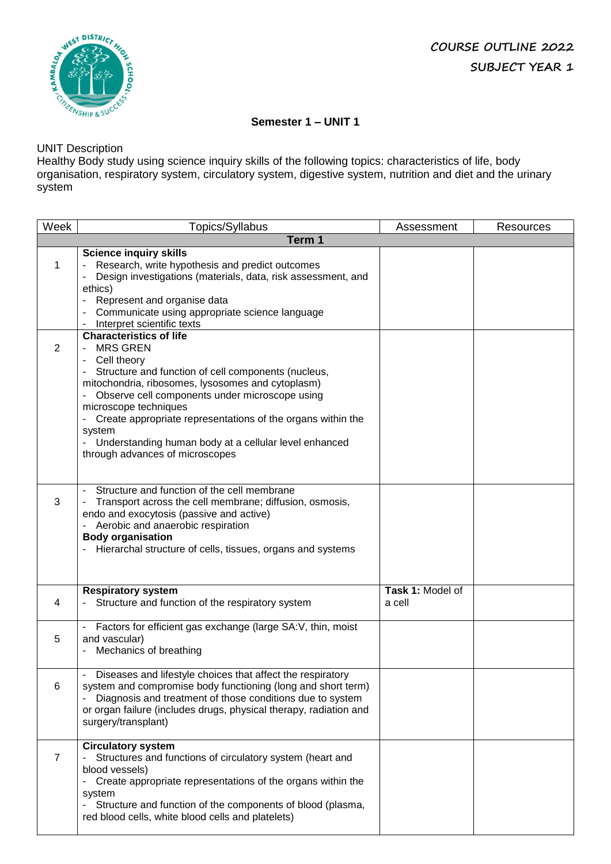

## **Semester 1 – UNIT 1**

## UNIT Description

Healthy Body study using science inquiry skills of the following topics: characteristics of life, body organisation, respiratory system, circulatory system, digestive system, nutrition and diet and the urinary system

| Week           | Topics/Syllabus                                                                                                                                                                                                                                                                                                                                                                                                              | Assessment                 | Resources |
|----------------|------------------------------------------------------------------------------------------------------------------------------------------------------------------------------------------------------------------------------------------------------------------------------------------------------------------------------------------------------------------------------------------------------------------------------|----------------------------|-----------|
|                | Term 1                                                                                                                                                                                                                                                                                                                                                                                                                       |                            |           |
| 1              | <b>Science inquiry skills</b><br>Research, write hypothesis and predict outcomes<br>Design investigations (materials, data, risk assessment, and<br>ethics)<br>Represent and organise data<br>$\overline{\phantom{a}}$<br>Communicate using appropriate science language<br>Interpret scientific texts<br>$\overline{\phantom{a}}$                                                                                           |                            |           |
| 2              | <b>Characteristics of life</b><br><b>MRS GREN</b><br>Cell theory<br>Structure and function of cell components (nucleus,<br>mitochondria, ribosomes, lysosomes and cytoplasm)<br>Observe cell components under microscope using<br>microscope techniques<br>Create appropriate representations of the organs within the<br>system<br>Understanding human body at a cellular level enhanced<br>through advances of microscopes |                            |           |
| 3              | Structure and function of the cell membrane<br>$\blacksquare$<br>Transport across the cell membrane; diffusion, osmosis,<br>endo and exocytosis (passive and active)<br>Aerobic and anaerobic respiration<br><b>Body organisation</b><br>Hierarchal structure of cells, tissues, organs and systems                                                                                                                          |                            |           |
| 4              | <b>Respiratory system</b><br>Structure and function of the respiratory system                                                                                                                                                                                                                                                                                                                                                | Task 1: Model of<br>a cell |           |
| 5              | Factors for efficient gas exchange (large SA:V, thin, moist<br>and vascular)<br>Mechanics of breathing                                                                                                                                                                                                                                                                                                                       |                            |           |
| 6              | Diseases and lifestyle choices that affect the respiratory<br>system and compromise body functioning (long and short term)<br>Diagnosis and treatment of those conditions due to system<br>or organ failure (includes drugs, physical therapy, radiation and<br>surgery/transplant)                                                                                                                                          |                            |           |
| $\overline{7}$ | <b>Circulatory system</b><br>Structures and functions of circulatory system (heart and<br>blood vessels)<br>Create appropriate representations of the organs within the<br>system<br>Structure and function of the components of blood (plasma,<br>red blood cells, white blood cells and platelets)                                                                                                                         |                            |           |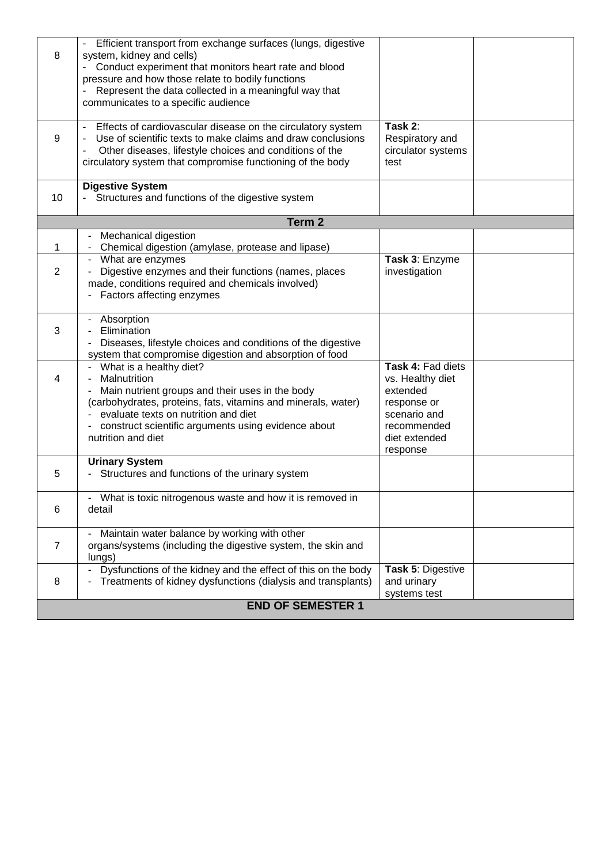| 8              | Efficient transport from exchange surfaces (lungs, digestive<br>system, kidney and cells)<br>Conduct experiment that monitors heart rate and blood<br>pressure and how those relate to bodily functions<br>Represent the data collected in a meaningful way that<br>communicates to a specific audience      |                                                                                                                              |  |
|----------------|--------------------------------------------------------------------------------------------------------------------------------------------------------------------------------------------------------------------------------------------------------------------------------------------------------------|------------------------------------------------------------------------------------------------------------------------------|--|
| 9              | - Effects of cardiovascular disease on the circulatory system<br>Use of scientific texts to make claims and draw conclusions<br>Other diseases, lifestyle choices and conditions of the<br>circulatory system that compromise functioning of the body                                                        | Task 2:<br>Respiratory and<br>circulator systems<br>test                                                                     |  |
| 10             | <b>Digestive System</b><br>- Structures and functions of the digestive system                                                                                                                                                                                                                                |                                                                                                                              |  |
|                | Term <sub>2</sub>                                                                                                                                                                                                                                                                                            |                                                                                                                              |  |
| 1              | Mechanical digestion<br>$\overline{\phantom{a}}$<br>Chemical digestion (amylase, protease and lipase)                                                                                                                                                                                                        |                                                                                                                              |  |
| 2              | What are enzymes<br>$\overline{\phantom{a}}$<br>Digestive enzymes and their functions (names, places<br>made, conditions required and chemicals involved)<br>Factors affecting enzymes                                                                                                                       | Task 3: Enzyme<br>investigation                                                                                              |  |
| 3              | Absorption<br>Elimination<br>Diseases, lifestyle choices and conditions of the digestive<br>system that compromise digestion and absorption of food                                                                                                                                                          |                                                                                                                              |  |
| 4              | What is a healthy diet?<br>$\overline{\phantom{a}}$<br>Malnutrition<br>Main nutrient groups and their uses in the body<br>(carbohydrates, proteins, fats, vitamins and minerals, water)<br>evaluate texts on nutrition and diet<br>construct scientific arguments using evidence about<br>nutrition and diet | Task 4: Fad diets<br>vs. Healthy diet<br>extended<br>response or<br>scenario and<br>recommended<br>diet extended<br>response |  |
| 5              | <b>Urinary System</b><br>Structures and functions of the urinary system                                                                                                                                                                                                                                      |                                                                                                                              |  |
| 6              | What is toxic nitrogenous waste and how it is removed in<br>detail                                                                                                                                                                                                                                           |                                                                                                                              |  |
| $\overline{7}$ | Maintain water balance by working with other<br>organs/systems (including the digestive system, the skin and<br>lungs)                                                                                                                                                                                       |                                                                                                                              |  |
| 8              | Dysfunctions of the kidney and the effect of this on the body<br>$\blacksquare$<br>Treatments of kidney dysfunctions (dialysis and transplants)                                                                                                                                                              | Task 5: Digestive<br>and urinary<br>systems test                                                                             |  |
|                | <b>END OF SEMESTER 1</b>                                                                                                                                                                                                                                                                                     |                                                                                                                              |  |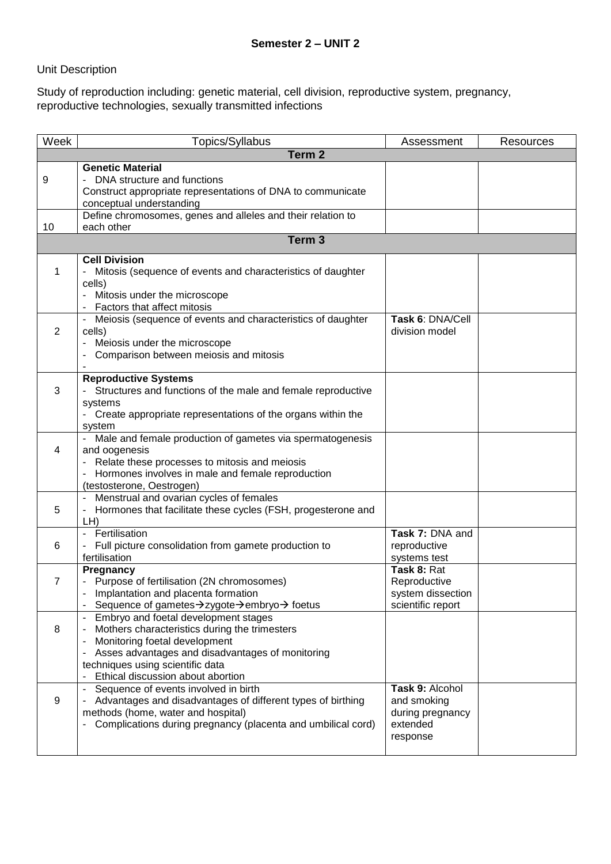## Unit Description

Study of reproduction including: genetic material, cell division, reproductive system, pregnancy, reproductive technologies, sexually transmitted infections

| Week | Topics/Syllabus                                                                                         | Assessment        | <b>Resources</b> |
|------|---------------------------------------------------------------------------------------------------------|-------------------|------------------|
|      | Term <sub>2</sub>                                                                                       |                   |                  |
|      | <b>Genetic Material</b>                                                                                 |                   |                  |
| 9    | - DNA structure and functions                                                                           |                   |                  |
|      | Construct appropriate representations of DNA to communicate                                             |                   |                  |
|      | conceptual understanding                                                                                |                   |                  |
| 10   | Define chromosomes, genes and alleles and their relation to<br>each other                               |                   |                  |
|      | Term <sub>3</sub>                                                                                       |                   |                  |
|      |                                                                                                         |                   |                  |
|      | <b>Cell Division</b>                                                                                    |                   |                  |
| 1    | Mitosis (sequence of events and characteristics of daughter                                             |                   |                  |
|      | cells)<br>Mitosis under the microscope                                                                  |                   |                  |
|      | Factors that affect mitosis                                                                             |                   |                  |
|      | Meiosis (sequence of events and characteristics of daughter                                             | Task 6: DNA/Cell  |                  |
| 2    | cells)                                                                                                  | division model    |                  |
|      | Meiosis under the microscope                                                                            |                   |                  |
|      | Comparison between meiosis and mitosis                                                                  |                   |                  |
|      |                                                                                                         |                   |                  |
|      | <b>Reproductive Systems</b>                                                                             |                   |                  |
| 3    | - Structures and functions of the male and female reproductive                                          |                   |                  |
|      | systems<br>- Create appropriate representations of the organs within the                                |                   |                  |
|      | system                                                                                                  |                   |                  |
|      | Male and female production of gametes via spermatogenesis                                               |                   |                  |
| 4    | and oogenesis                                                                                           |                   |                  |
|      | Relate these processes to mitosis and meiosis                                                           |                   |                  |
|      | Hormones involves in male and female reproduction                                                       |                   |                  |
|      | (testosterone, Oestrogen)                                                                               |                   |                  |
| 5    | Menstrual and ovarian cycles of females<br>Hormones that facilitate these cycles (FSH, progesterone and |                   |                  |
|      | -<br>LH)                                                                                                |                   |                  |
|      | Fertilisation<br>$\blacksquare$                                                                         | Task 7: DNA and   |                  |
| 6    | Full picture consolidation from gamete production to                                                    | reproductive      |                  |
|      | fertilisation                                                                                           | systems test      |                  |
|      | Pregnancy                                                                                               | Task 8: Rat       |                  |
| 7    | - Purpose of fertilisation (2N chromosomes)                                                             | Reproductive      |                  |
|      | Implantation and placenta formation                                                                     | system dissection |                  |
|      | Sequence of gametes->zygote->embryo-> foetus<br>Embryo and foetal development stages                    | scientific report |                  |
| 8    | Mothers characteristics during the trimesters                                                           |                   |                  |
|      | Monitoring foetal development<br>-                                                                      |                   |                  |
|      | Asses advantages and disadvantages of monitoring                                                        |                   |                  |
|      | techniques using scientific data                                                                        |                   |                  |
|      | Ethical discussion about abortion                                                                       |                   |                  |
|      | Sequence of events involved in birth                                                                    | Task 9: Alcohol   |                  |
| 9    | Advantages and disadvantages of different types of birthing                                             | and smoking       |                  |
|      | methods (home, water and hospital)                                                                      | during pregnancy  |                  |
|      | Complications during pregnancy (placenta and umbilical cord)<br>$\qquad \qquad \blacksquare$            | extended          |                  |
|      |                                                                                                         | response          |                  |
|      |                                                                                                         |                   |                  |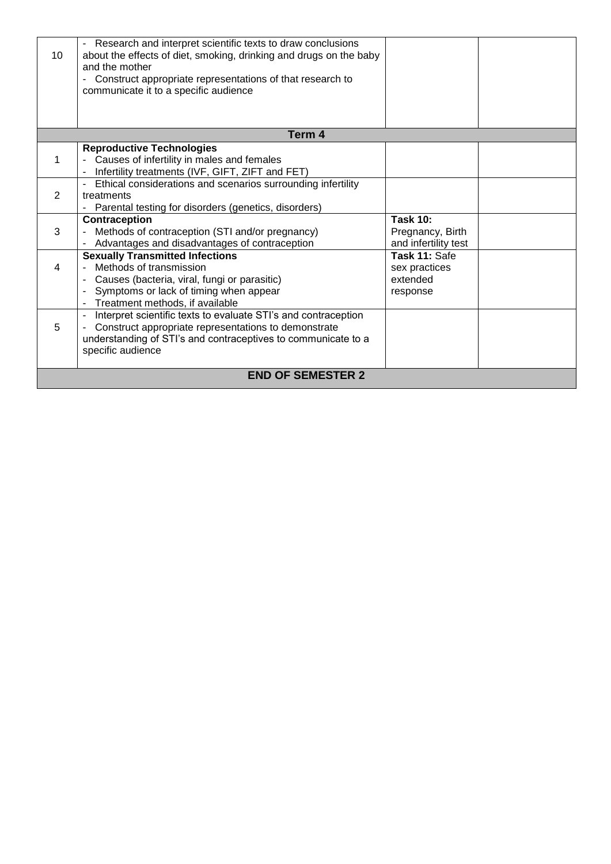| 10 | - Research and interpret scientific texts to draw conclusions<br>about the effects of diet, smoking, drinking and drugs on the baby<br>and the mother<br>Construct appropriate representations of that research to<br>communicate it to a specific audience |                                                             |  |
|----|-------------------------------------------------------------------------------------------------------------------------------------------------------------------------------------------------------------------------------------------------------------|-------------------------------------------------------------|--|
|    |                                                                                                                                                                                                                                                             |                                                             |  |
|    | Term 4                                                                                                                                                                                                                                                      |                                                             |  |
|    | <b>Reproductive Technologies</b><br>Causes of infertility in males and females<br>Infertility treatments (IVF, GIFT, ZIFT and FET)                                                                                                                          |                                                             |  |
| 2  | Ethical considerations and scenarios surrounding infertility<br>$\blacksquare$<br>treatments<br>Parental testing for disorders (genetics, disorders)<br>$\overline{\phantom{a}}$                                                                            |                                                             |  |
| 3  | Contraception<br>Methods of contraception (STI and/or pregnancy)<br>Advantages and disadvantages of contraception                                                                                                                                           | <b>Task 10:</b><br>Pregnancy, Birth<br>and infertility test |  |
| 4  | <b>Sexually Transmitted Infections</b><br>Methods of transmission<br>Causes (bacteria, viral, fungi or parasitic)<br>Symptoms or lack of timing when appear<br>Treatment methods, if available                                                              | Task 11: Safe<br>sex practices<br>extended<br>response      |  |
| 5  | Interpret scientific texts to evaluate STI's and contraception<br>Construct appropriate representations to demonstrate<br>understanding of STI's and contraceptives to communicate to a<br>specific audience                                                |                                                             |  |
|    | <b>END OF SEMESTER 2</b>                                                                                                                                                                                                                                    |                                                             |  |